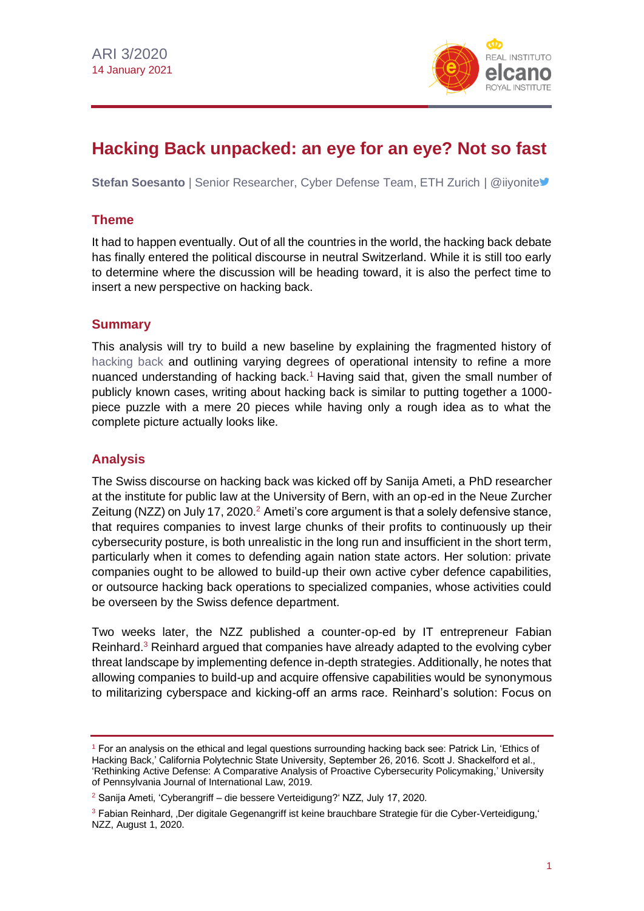

# **Hacking Back unpacked: an eye for an eye? Not so fast**

Stefan Soesanto | Senior Researcher, Cyber Defense Team, ETH Zurich | @iiyonite<sup>y</sup>

## **Theme**

It had to happen eventually. Out of all the countries in the world, the hacking back debate has finally entered the political discourse in neutral Switzerland. While it is still too early to determine where the discussion will be heading toward, it is also the perfect time to insert a new perspective on hacking back.

### **Summary**

This analysis will try to build a new baseline by explaining the fragmented history of [hacking back](http://www.realinstitutoelcano.org/wps/portal/rielcano_es/contenido?WCM_GLOBAL_CONTEXT=/elcano/elcano_es/zonas_es/ari114-2018-montero-hack-back-legitima-ciberdefensa-empresas) and outlining varying degrees of operational intensity to refine a more nuanced understanding of hacking back.<sup>1</sup> Having said that, given the small number of publicly known cases, writing about hacking back is similar to putting together a 1000 piece puzzle with a mere 20 pieces while having only a rough idea as to what the complete picture actually looks like.

## **Analysis**

The Swiss discourse on hacking back was kicked off by Sanija Ameti, a PhD researcher at the institute for public law at the University of Bern, with an op-ed in the Neue Zurcher Zeitung (NZZ) on July 17, 2020. $^2$  Ameti's core argument is that a solely defensive stance, that requires companies to invest large chunks of their profits to continuously up their cybersecurity posture, is both unrealistic in the long run and insufficient in the short term, particularly when it comes to defending again nation state actors. Her solution: private companies ought to be allowed to build-up their own active cyber defence capabilities, or outsource hacking back operations to specialized companies, whose activities could be overseen by the Swiss defence department.

Two weeks later, the NZZ published a counter-op-ed by IT entrepreneur Fabian Reinhard.<sup>3</sup> Reinhard argued that companies have already adapted to the evolving cyber threat landscape by implementing defence in-depth strategies. Additionally, he notes that allowing companies to build-up and acquire offensive capabilities would be synonymous to militarizing cyberspace and kicking-off an arms race. Reinhard's solution: Focus on

<sup>1</sup> For an analysis on the ethical and legal questions surrounding hacking back see: Patrick Lin, ['Ethics of](http://ethics.calpoly.edu/hackingback.pdf)  [Hacking Back,](http://ethics.calpoly.edu/hackingback.pdf)' California Polytechnic State University, September 26, 2016. Scott J. Shackelford et al., ['Rethinking Active Defense: A Comparative Analysis of Proactive Cybersecurity Policymaking,](https://scholarship.law.upenn.edu/cgi/viewcontent.cgi?article=2001&context=jil)' University of Pennsylvania Journal of International Law, 2019.

<sup>2</sup> Sanija Ameti, 'Cyberangriff – [die bessere Verteidigung?](https://www.nzz.ch/schweiz/ist-cyberangriff-die-bessere-verteidigung-ld.1566092?reduced=true)' NZZ, July 17, 2020.

<sup>&</sup>lt;sup>3</sup> Fabian Reinhard, "Der digitale Gegenangriff ist keine brauchbare Strategie für die Cyber-Verteidigung," NZZ, August 1, 2020.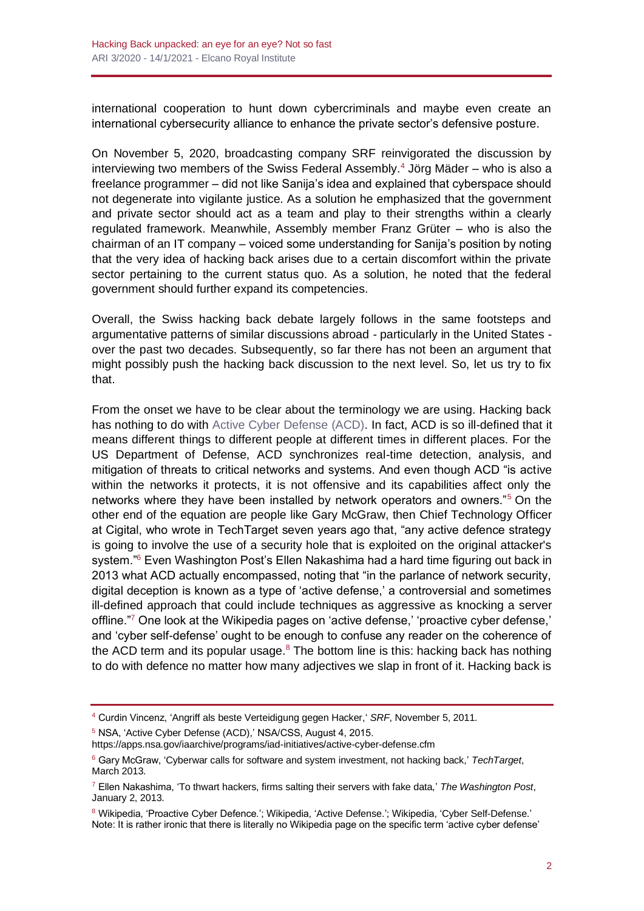international cooperation to hunt down cybercriminals and maybe even create an international cybersecurity alliance to enhance the private sector's defensive posture.

On November 5, 2020, broadcasting company SRF reinvigorated the discussion by interviewing two members of the Swiss Federal Assembly.<sup>4</sup> Jörg Mäder – who is also a freelance programmer – did not like Sanija's idea and explained that cyberspace should not degenerate into vigilante justice. As a solution he emphasized that the government and private sector should act as a team and play to their strengths within a clearly regulated framework. Meanwhile, Assembly member Franz Grüter – who is also the chairman of an IT company – voiced some understanding for Sanija's position by noting that the very idea of hacking back arises due to a certain discomfort within the private sector pertaining to the current status quo. As a solution, he noted that the federal government should further expand its competencies.

Overall, the Swiss hacking back debate largely follows in the same footsteps and argumentative patterns of similar discussions abroad - particularly in the United States over the past two decades. Subsequently, so far there has not been an argument that might possibly push the hacking back discussion to the next level. So, let us try to fix that.

From the onset we have to be clear about the terminology we are using. Hacking back has nothing to do with [Active Cyber Defense \(ACD\).](http://www.realinstitutoelcano.org/wps/portal/rielcano_es/contenido?WCM_GLOBAL_CONTEXT=/elcano/elcano_es/zonas_es/ari92-2019-arteaga-capacidades-ofensivas-disuasion-y-ciberdefensa) In fact, ACD is so ill-defined that it means different things to different people at different times in different places. For the US Department of Defense, ACD synchronizes real-time detection, analysis, and mitigation of threats to critical networks and systems. And even though ACD "is active within the networks it protects, it is not offensive and its capabilities affect only the networks where they have been installed by network operators and owners."<sup>5</sup> On the other end of the equation are people like Gary McGraw, then Chief Technology Officer at Cigital, who wrote in TechTarget seven years ago that, "any active defence strategy is going to involve the use of a security hole that is exploited on the original attacker's system.<sup>"6</sup> Even Washington Post's Ellen Nakashima had a hard time figuring out back in 2013 what ACD actually encompassed, noting that "in the parlance of network security, digital deception is known as a type of 'active defense,' a controversial and sometimes ill-defined approach that could include techniques as aggressive as knocking a server offline."<sup>7</sup> One look at the Wikipedia pages on 'active defense,' 'proactive cyber defense,' and 'cyber self-defense' ought to be enough to confuse any reader on the coherence of the ACD term and its popular usage. $8$  The bottom line is this: hacking back has nothing to do with defence no matter how many adjectives we slap in front of it. Hacking back is

<sup>4</sup> Curdin Vincenz, ['Angriff als beste Verteidigung gegen Hacker,](https://www.srf.ch/news/p/angriff-als-beste-verteidigung-gegen-hacker?ns_source=mobile&srg_sm_medium=tw)' *SRF*, November 5, 2011.

<sup>5</sup> NSA, ['Active Cyber Defense \(ACD\),](https://apps.nsa.gov/iaarchive/programs/iad-initiatives/active-cyber-defense.cfm)' NSA/CSS, August 4, 2015.

https://apps.nsa.gov/iaarchive/programs/iad-initiatives/active-cyber-defense.cfm

<sup>6</sup> Gary McGraw, ['Cyberwar calls for software and system investment, not hacking back,](https://searchsecurity.techtarget.com/tip/Cyberwar-calls-for-software-and-system-investment-not-hacking-back)' *TechTarget*, March 2013.

<sup>7</sup> Ellen Nakashima, ['To thwart hackers, firms salting their servers with fake data,'](https://www.washingtonpost.com/world/national-security/to-thwart-hackers-firms-salting-their-servers-with-fake-data/2013/01/02/3ce00712-4afa-11e2-9a42-d1ce6d0ed278_story.html) *The Washington Post*, January 2, 2013.

<sup>8</sup> Wikipedia, 'Proactive [Cyber](https://en.wikipedia.org/wiki/Proactive_cyber_defence) Defence.'; Wikipedia, ['Active Defense.](https://en.wikipedia.org/wiki/Active_defense)'; Wikipedia, ['Cyber Self-Defense.](https://en.wikipedia.org/wiki/Cyber_self-defense)' Note: It is rather ironic that there is literally no Wikipedia page on the specific term 'active cyber defense'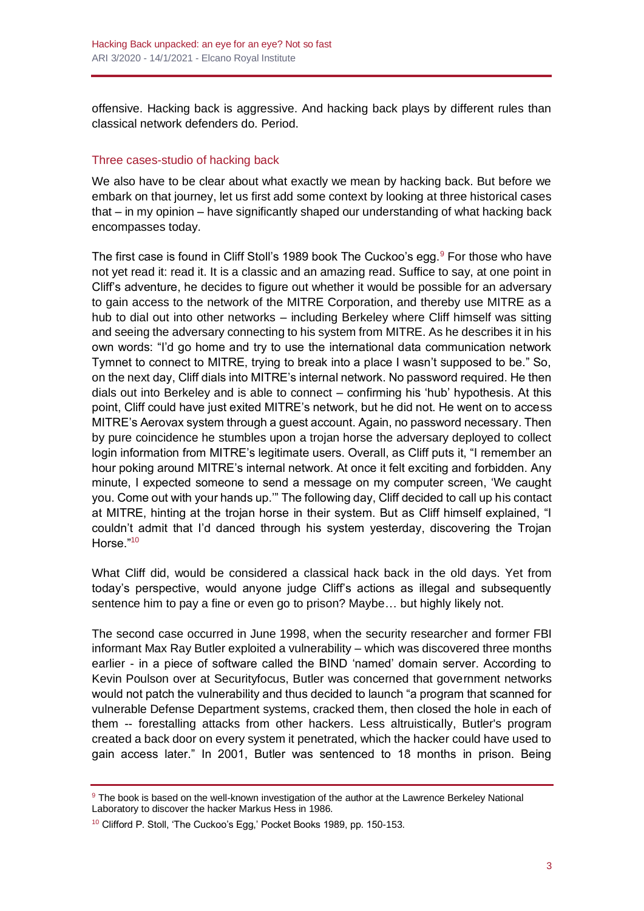offensive. Hacking back is aggressive. And hacking back plays by different rules than classical network defenders do. Period.

### Three cases-studio of hacking back

We also have to be clear about what exactly we mean by hacking back. But before we embark on that journey, let us first add some context by looking at three historical cases that – in my opinion – have significantly shaped our understanding of what hacking back encompasses today.

The first case is found in Cliff Stoll's 1989 book The Cuckoo's egg.<sup>9</sup> For those who have not yet read it: read it. It is a classic and an amazing read. Suffice to say, at one point in Cliff's adventure, he decides to figure out whether it would be possible for an adversary to gain access to the network of the MITRE Corporation, and thereby use MITRE as a hub to dial out into other networks – including Berkeley where Cliff himself was sitting and seeing the adversary connecting to his system from MITRE. As he describes it in his own words: "I'd go home and try to use the international data communication network Tymnet to connect to MITRE, trying to break into a place I wasn't supposed to be." So, on the next day, Cliff dials into MITRE's internal network. No password required. He then dials out into Berkeley and is able to connect – confirming his 'hub' hypothesis. At this point, Cliff could have just exited MITRE's network, but he did not. He went on to access MITRE's Aerovax system through a guest account. Again, no password necessary. Then by pure coincidence he stumbles upon a trojan horse the adversary deployed to collect login information from MITRE's legitimate users. Overall, as Cliff puts it, "I remember an hour poking around MITRE's internal network. At once it felt exciting and forbidden. Any minute, I expected someone to send a message on my computer screen, 'We caught you. Come out with your hands up.'" The following day, Cliff decided to call up his contact at MITRE, hinting at the trojan horse in their system. But as Cliff himself explained, "I couldn't admit that I'd danced through his system yesterday, discovering the Trojan Horse."<sup>10</sup>

What Cliff did, would be considered a classical hack back in the old days. Yet from today's perspective, would anyone judge Cliff's actions as illegal and subsequently sentence him to pay a fine or even go to prison? Maybe… but highly likely not.

The second case occurred in June 1998, when the security researcher and former FBI informant Max Ray Butler exploited a vulnerability – which was discovered three months earlier - in a piece of software called the BIND 'named' domain server. According to Kevin Poulson over at Securityfocus, Butler was concerned that government networks would not patch the vulnerability and thus decided to launch "a program that scanned for vulnerable Defense Department systems, cracked them, then closed the hole in each of them -- forestalling attacks from other hackers. Less altruistically, Butler's program created a back door on every system it penetrated, which the hacker could have used to gain access later." In 2001, Butler was sentenced to 18 months in prison. Being

<sup>&</sup>lt;sup>9</sup> The book is based on the well-known investigation of the author at the Lawrence Berkeley National Laboratory to discover the hacker Markus Hess in 1986.

<sup>&</sup>lt;sup>10</sup> Clifford P. Stoll, 'The Cuckoo's Egg,' Pocket Books 1989, pp. 150-153.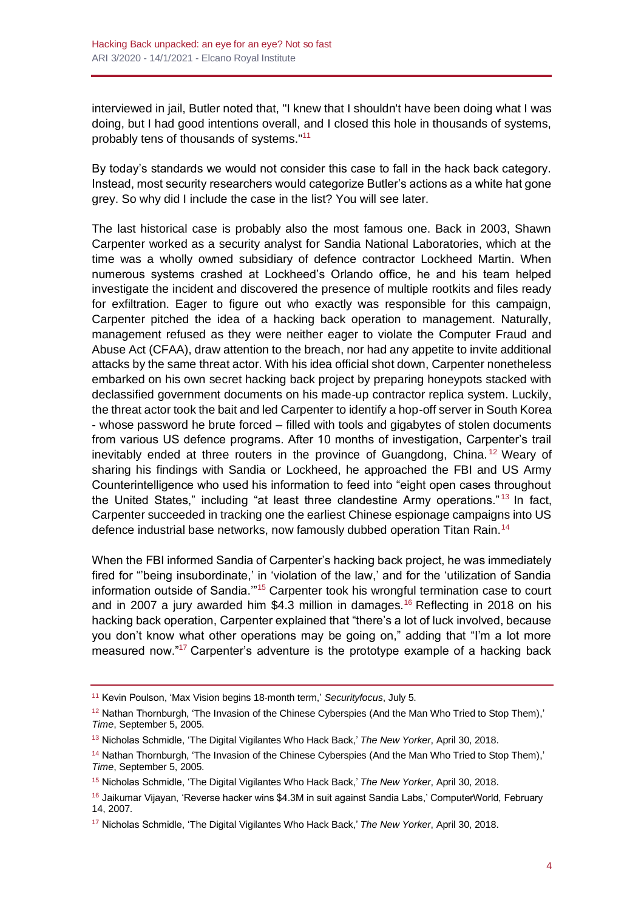interviewed in jail, Butler noted that, "I knew that I shouldn't have been doing what I was doing, but I had good intentions overall, and I closed this hole in thousands of systems, probably tens of thousands of systems."<sup>11</sup>

By today's standards we would not consider this case to fall in the hack back category. Instead, most security researchers would categorize Butler's actions as a white hat gone grey. So why did I include the case in the list? You will see later.

The last historical case is probably also the most famous one. Back in 2003, Shawn Carpenter worked as a security analyst for Sandia National Laboratories, which at the time was a wholly owned subsidiary of defence contractor Lockheed Martin. When numerous systems crashed at Lockheed's Orlando office, he and his team helped investigate the incident and discovered the presence of multiple rootkits and files ready for exfiltration. Eager to figure out who exactly was responsible for this campaign, Carpenter pitched the idea of a hacking back operation to management. Naturally, management refused as they were neither eager to violate the Computer Fraud and Abuse Act (CFAA), draw attention to the breach, nor had any appetite to invite additional attacks by the same threat actor. With his idea official shot down, Carpenter nonetheless embarked on his own secret hacking back project by preparing honeypots stacked with declassified government documents on his made-up contractor replica system. Luckily, the threat actor took the bait and led Carpenter to identify a hop-off server in South Korea - whose password he brute forced – filled with tools and gigabytes of stolen documents from various US defence programs. After 10 months of investigation, Carpenter's trail inevitably ended at three routers in the province of Guangdong, China.<sup>12</sup> Weary of sharing his findings with Sandia or Lockheed, he approached the FBI and US Army Counterintelligence who used his information to feed into "eight open cases throughout the United States," including "at least three clandestine Army operations." <sup>13</sup> In fact, Carpenter succeeded in tracking one the earliest Chinese espionage campaigns into US defence industrial base networks, now famously dubbed operation Titan Rain.<sup>14</sup>

When the FBI informed Sandia of Carpenter's hacking back project, he was immediately fired for "'being insubordinate,' in 'violation of the law,' and for the 'utilization of Sandia information outside of Sandia.'"<sup>15</sup> Carpenter took his wrongful termination case to court and in 2007 a jury awarded him \$4.3 million in damages.<sup>16</sup> Reflecting in 2018 on his hacking back operation, Carpenter explained that "there's a lot of luck involved, because you don't know what other operations may be going on," adding that "I'm a lot more measured now."<sup>17</sup> Carpenter's adventure is the prototype example of a hacking back

<sup>11</sup> Kevin Poulson, ['Max Vision begins 18-month term,](file:///C:/Users/usuario/AppData/Local/Microsoft/Windows/INetCache/Content.Outlook/EFKDN6YS/Max%20Vision%20begins%2018-month%20term)' *Securityfocus*, July 5.

 $12$  Nathan Thornburgh, ['The Invasion of the Chinese Cyberspies \(And the Man Who Tried to Stop Them\),](https://courses.cs.washington.edu/courses/csep590/05au/readings/titan.rain.htm)' *Time*, September 5, 2005.

<sup>13</sup> Nicholas Schmidle, ['The Digital Vigilantes Who Hack Back,](https://www.newyorker.com/magazine/2018/05/07/the-digital-vigilantes-who-hack-back)' *The New Yorker*, April 30, 2018.

 $14$  Nathan Thornburgh, ['The Invasion of the Chinese Cyberspies \(And the Man Who Tried to Stop Them\),](https://courses.cs.washington.edu/courses/csep590/05au/readings/titan.rain.htm)' *Time*, September 5, 2005.

<sup>15</sup> Nicholas Schmidle, ['The Digital Vigilantes Who Hack Back,](https://www.newyorker.com/magazine/2018/05/07/the-digital-vigilantes-who-hack-back)' *The New Yorker*, April 30, 2018.

<sup>&</sup>lt;sup>16</sup> Jaikumar Vijayan, ['Reverse hacker wins \\$4.3M in suit against Sandia Labs,](https://www.computerworld.com/article/2543470/reverse-hacker-wins--4-3m-in-suit-against-sandia-labs.html)' ComputerWorld, February 14, 2007.

<sup>17</sup> Nicholas Schmidle, ['The Digital Vigilantes Who Hack Back,](https://www.newyorker.com/magazine/2018/05/07/the-digital-vigilantes-who-hack-back)' *The New Yorker*, April 30, 2018.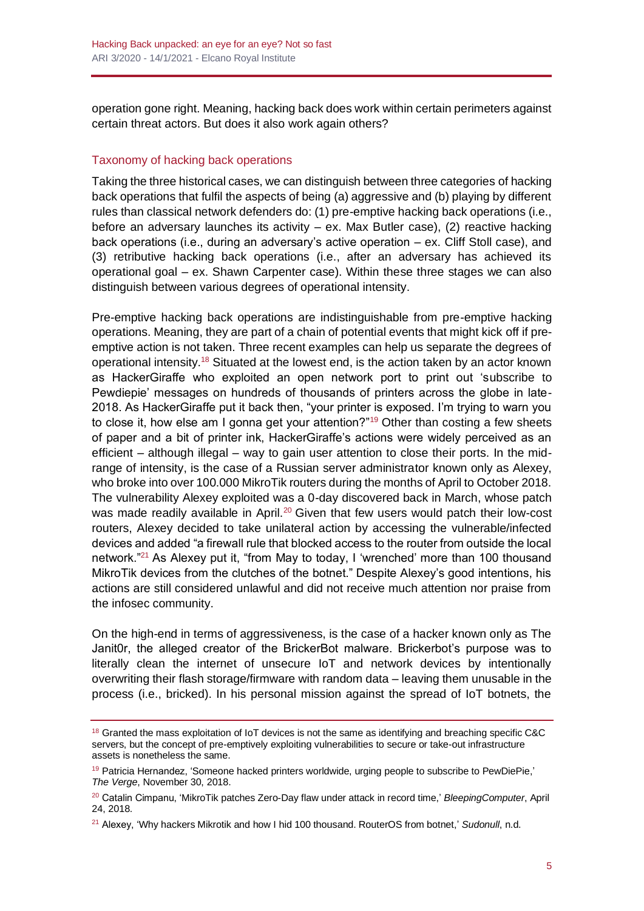operation gone right. Meaning, hacking back does work within certain perimeters against certain threat actors. But does it also work again others?

#### Taxonomy of hacking back operations

Taking the three historical cases, we can distinguish between three categories of hacking back operations that fulfil the aspects of being (a) aggressive and (b) playing by different rules than classical network defenders do: (1) pre-emptive hacking back operations (i.e., before an adversary launches its activity – ex. Max Butler case), (2) reactive hacking back operations (i.e., during an adversary's active operation – ex. Cliff Stoll case), and (3) retributive hacking back operations (i.e., after an adversary has achieved its operational goal – ex. Shawn Carpenter case). Within these three stages we can also distinguish between various degrees of operational intensity.

Pre-emptive hacking back operations are indistinguishable from pre-emptive hacking operations. Meaning, they are part of a chain of potential events that might kick off if preemptive action is not taken. Three recent examples can help us separate the degrees of operational intensity.<sup>18</sup> Situated at the lowest end, is the action taken by an actor known as HackerGiraffe who exploited an open network port to print out 'subscribe to Pewdiepie' messages on hundreds of thousands of printers across the globe in late-2018. As HackerGiraffe put it back then, "your printer is exposed. I'm trying to warn you to close it, how else am I gonna get your attention?"<sup>19</sup> Other than costing a few sheets of paper and a bit of printer ink, HackerGiraffe's actions were widely perceived as an efficient – although illegal – way to gain user attention to close their ports. In the midrange of intensity, is the case of a Russian server administrator known only as Alexey, who broke into over 100.000 MikroTik routers during the months of April to October 2018. The vulnerability Alexey exploited was a 0-day discovered back in March, whose patch was made readily available in April.<sup>20</sup> Given that few users would patch their low-cost routers, Alexey decided to take unilateral action by accessing the vulnerable/infected devices and added "a firewall rule that blocked access to the router from outside the local network."<sup>21</sup> As Alexey put it, "from May to today, I 'wrenched' more than 100 thousand MikroTik devices from the clutches of the botnet." Despite Alexey's good intentions, his actions are still considered unlawful and did not receive much attention nor praise from the infosec community.

On the high-end in terms of aggressiveness, is the case of a hacker known only as The Janit0r, the alleged creator of the BrickerBot malware. Brickerbot's purpose was to literally clean the internet of unsecure IoT and network devices by intentionally overwriting their flash storage/firmware with random data – leaving them unusable in the process (i.e., bricked). In his personal mission against the spread of IoT botnets, the

<sup>&</sup>lt;sup>18</sup> Granted the mass exploitation of IoT devices is not the same as identifying and breaching specific C&C servers, but the concept of pre-emptively exploiting vulnerabilities to secure or take-out infrastructure assets is nonetheless the same.

<sup>&</sup>lt;sup>19</sup> Patricia Hernandez, ['Someone hacked printers worldwide, urging people to subscribe to PewDiePie,](https://www.theverge.com/2018/11/30/18119576/pewdiepie-printer-hack-t-series-youtube)' *The Verge*, November 30, 2018.

<sup>20</sup> Catalin Cimpanu, ['MikroTik patches Zero-Day flaw under attack in record time,'](https://www.bleepingcomputer.com/news/security/mikrotik-patches-zero-day-flaw-under-attack-in-record-time/) *BleepingComputer*, April 24, 2018.

<sup>21</sup> Alexey, ['Why hackers Mikrotik and how I hid 100 thousand. RouterOS from botnet,](https://sudonull.com/post/10687-Why-hackers-Mikrotik-and-how-I-hid-100-thousand-RouterOS-from-botnet)' *Sudonull*, n.d.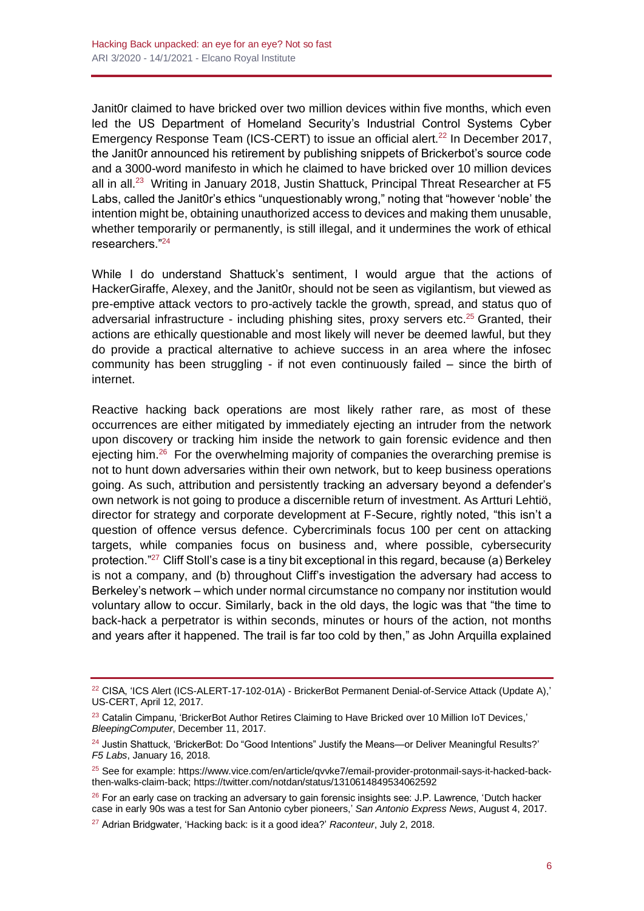Janit0r claimed to have bricked over two million devices within five months, which even led the US Department of Homeland Security's Industrial Control Systems Cyber Emergency Response Team (ICS-CERT) to issue an official alert.<sup>22</sup> In December 2017, the Janit0r announced his retirement by publishing snippets of Brickerbot's source code and a 3000-word manifesto in which he claimed to have bricked over 10 million devices all in all.<sup>23</sup> Writing in January 2018, Justin Shattuck, Principal Threat Researcher at F5 Labs, called the Janit0r's ethics "unquestionably wrong," noting that "however 'noble' the intention might be, obtaining unauthorized access to devices and making them unusable, whether temporarily or permanently, is still illegal, and it undermines the work of ethical researchers."<sup>24</sup>

While I do understand Shattuck's sentiment, I would argue that the actions of HackerGiraffe, Alexey, and the Janit0r, should not be seen as vigilantism, but viewed as pre-emptive attack vectors to pro-actively tackle the growth, spread, and status quo of adversarial infrastructure - including phishing sites, proxy servers etc.<sup>25</sup> Granted, their actions are ethically questionable and most likely will never be deemed lawful, but they do provide a practical alternative to achieve success in an area where the infosec community has been struggling - if not even continuously failed – since the birth of internet.

Reactive hacking back operations are most likely rather rare, as most of these occurrences are either mitigated by immediately ejecting an intruder from the network upon discovery or tracking him inside the network to gain forensic evidence and then ejecting him.<sup>26</sup> For the overwhelming majority of companies the overarching premise is not to hunt down adversaries within their own network, but to keep business operations going. As such, attribution and persistently tracking an adversary beyond a defender's own network is not going to produce a discernible return of investment. As Artturi Lehtiö, director for strategy and corporate development at F-Secure, rightly noted, "this isn't a question of offence versus defence. Cybercriminals focus 100 per cent on attacking targets, while companies focus on business and, where possible, cybersecurity protection."<sup>27</sup> Cliff Stoll's case is a tiny bit exceptional in this regard, because (a) Berkeley is not a company, and (b) throughout Cliff's investigation the adversary had access to Berkeley's network – which under normal circumstance no company nor institution would voluntary allow to occur. Similarly, back in the old days, the logic was that "the time to back-hack a perpetrator is within seconds, minutes or hours of the action, not months and years after it happened. The trail is far too cold by then," as John Arquilla explained

<sup>&</sup>lt;sup>22</sup> CISA, 'ICS Alert (ICS-ALERT-17-102-01A) - BrickerBot Permanent Denial-of-Service Attack (Update A),' US-CERT, April 12, 2017.

<sup>&</sup>lt;sup>23</sup> Catalin Cimpanu, ['BrickerBot Author Retires Claiming to Have Bricked over 10 Million IoT Devices,](https://www.bleepingcomputer.com/news/security/brickerbot-author-retires-claiming-to-have-bricked-over-10-million-iot-devices/)' *BleepingComputer*, December 11, 2017.

<sup>&</sup>lt;sup>24</sup> Justin Shattuck, 'BrickerBot: Do "Good Intentions" Justify the Means—or Deliver Meaningful Results?' *F5 Labs*, January 16, 2018.

<sup>25</sup> See for example: [https://www.vice.com/en/article/qvvke7/email-provider-protonmail-says-it-hacked-back](https://www.vice.com/en/article/qvvke7/email-provider-protonmail-says-it-hacked-back-then-walks-claim-back)[then-walks-claim-back;](https://www.vice.com/en/article/qvvke7/email-provider-protonmail-says-it-hacked-back-then-walks-claim-back) https://twitter.com/notdan/status/1310614849534062592

 $26$  For an early case on tracking an adversary to gain forensic insights see: J.P. Lawrence, 'Dutch hacker [case in early 90s was a test for San Antonio cyber pioneers,](https://www.expressnews.com/sa300/article/Dutch-hacker-case-in-early-90s-was-a-test-for-San-11735535.php)' *San Antonio Express News*, August 4, 2017.

<sup>27</sup> Adrian Bridgwater, ['Hacking back: is it a good idea?'](https://www.raconteur.net/technology/cybersecurity/hacking-back-good-idea/) *Raconteur*, July 2, 2018.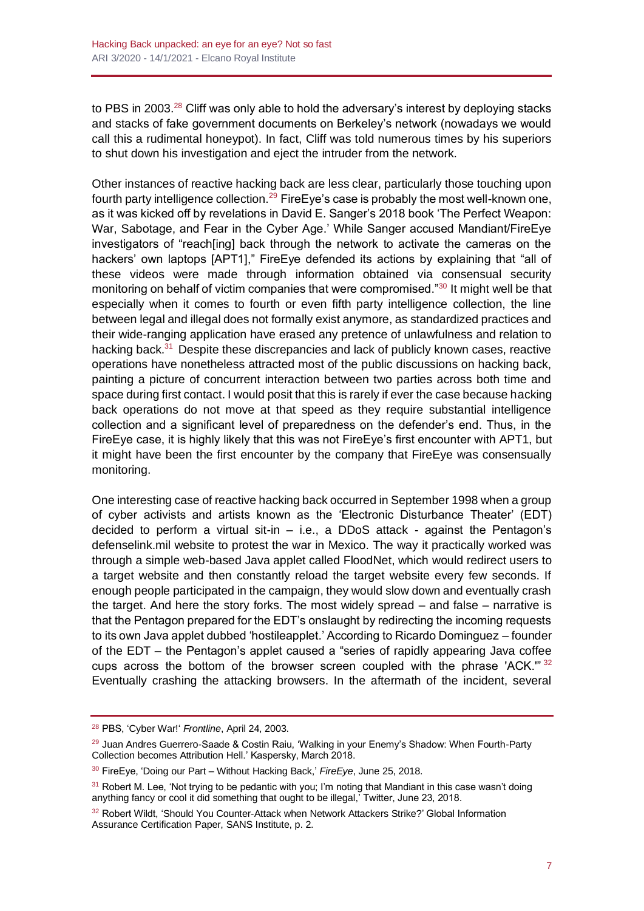to PBS in 2003.<sup>28</sup> Cliff was only able to hold the adversary's interest by deploying stacks and stacks of fake government documents on Berkeley's network (nowadays we would call this a rudimental honeypot). In fact, Cliff was told numerous times by his superiors to shut down his investigation and eject the intruder from the network.

Other instances of reactive hacking back are less clear, particularly those touching upon fourth party intelligence collection.<sup>29</sup> FireEye's case is probably the most well-known one, as it was kicked off by revelations in David E. Sanger's 2018 book 'The Perfect Weapon: War, Sabotage, and Fear in the Cyber Age.' While Sanger accused Mandiant/FireEye investigators of "reach[ing] back through the network to activate the cameras on the hackers' own laptops [APT1]," FireEye defended its actions by explaining that "all of these videos were made through information obtained via consensual security monitoring on behalf of victim companies that were compromised."<sup>30</sup> It might well be that especially when it comes to fourth or even fifth party intelligence collection, the line between legal and illegal does not formally exist anymore, as standardized practices and their wide-ranging application have erased any pretence of unlawfulness and relation to hacking back.<sup>31</sup> Despite these discrepancies and lack of publicly known cases, reactive operations have nonetheless attracted most of the public discussions on hacking back, painting a picture of concurrent interaction between two parties across both time and space during first contact. I would posit that this is rarely if ever the case because hacking back operations do not move at that speed as they require substantial intelligence collection and a significant level of preparedness on the defender's end. Thus, in the FireEye case, it is highly likely that this was not FireEye's first encounter with APT1, but it might have been the first encounter by the company that FireEye was consensually monitoring.

One interesting case of reactive hacking back occurred in September 1998 when a group of cyber activists and artists known as the 'Electronic Disturbance Theater' (EDT) decided to perform a virtual sit-in – i.e., a DDoS attack - against the Pentagon's defenselink.mil website to protest the war in Mexico. The way it practically worked was through a simple web-based Java applet called FloodNet, which would redirect users to a target website and then constantly reload the target website every few seconds. If enough people participated in the campaign, they would slow down and eventually crash the target. And here the story forks. The most widely spread – and false – narrative is that the Pentagon prepared for the EDT's onslaught by redirecting the incoming requests to its own Java applet dubbed 'hostileapplet.' According to Ricardo Dominguez – founder of the EDT – the Pentagon's applet caused a "series of rapidly appearing Java coffee cups across the bottom of the browser screen coupled with the phrase 'ACK.'" <sup>32</sup> Eventually crashing the attacking browsers. In the aftermath of the incident, several

<sup>28</sup> PBS, ['Cyber War!'](https://www.pbs.org/wgbh/pages/frontline/shows/cyberwar/etc/script.html) *Frontline*, April 24, 2003.

<sup>&</sup>lt;sup>29</sup> Juan Andres Guerrero-Saade & Costin Raiu, 'Walking in your Enemy's Shadow: When Fourth-Party [Collection becomes Attribution Hell.](https://media.kasperskycontenthub.com/wp-content/uploads/sites/43/2018/03/07170728/Guerrero-Saade-Raiu-VB2017.pdf)' Kaspersky, March 2018.

<sup>30</sup> FireEye, 'Doing our Part – [Without Hacking Back,'](https://www.fireeye.com/blog/executive-perspective/2018/06/doing-our-part-without-hacking-back.html) *FireEye*, June 25, 2018.

 $31$  Robert M. Lee, 'Not trying to be pedantic with you; I'm noting that Mandiant in this case wasn't doing [anything fancy or cool it did something that ought to be illegal,](https://twitter.com/RobertMLee/status/1010533410094370816)' Twitter, June 23, 2018.

<sup>32</sup> Robert Wildt, ['Should You Counter-Attack when Network Attackers Strike?'](https://www.giac.org/paper/gsec/401/counter-attack-network-attackers-strike/101023) Global Information Assurance Certification Paper, SANS Institute, p. 2.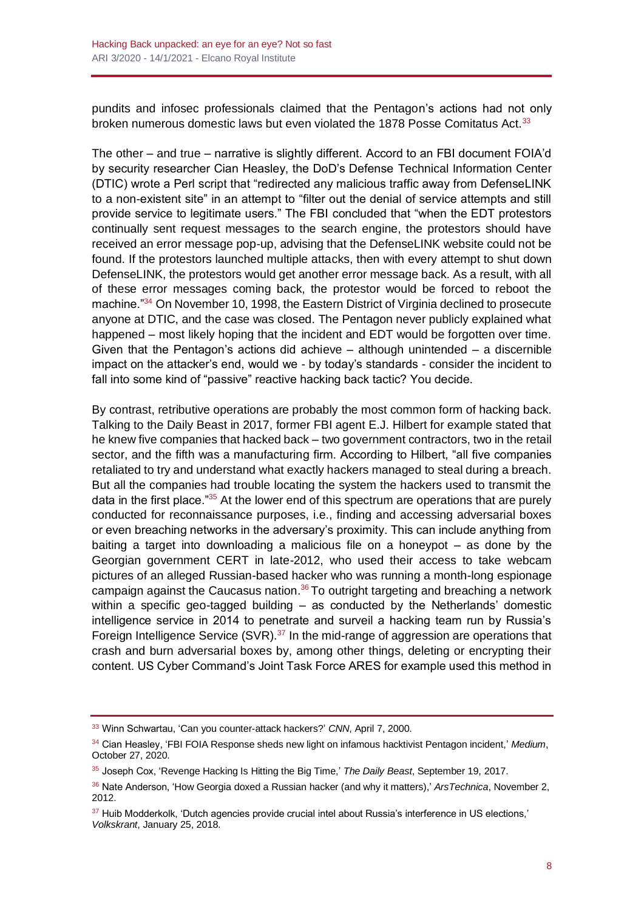pundits and infosec professionals claimed that the Pentagon's actions had not only broken numerous domestic laws but even violated the 1878 Posse Comitatus Act.<sup>33</sup>

The other – and true – narrative is slightly different. Accord to an FBI document FOIA'd by security researcher Cian Heasley, the DoD's Defense Technical Information Center (DTIC) wrote a Perl script that "redirected any malicious traffic away from DefenseLINK to a non-existent site" in an attempt to "filter out the denial of service attempts and still provide service to legitimate users." The FBI concluded that "when the EDT protestors continually sent request messages to the search engine, the protestors should have received an error message pop-up, advising that the DefenseLINK website could not be found. If the protestors launched multiple attacks, then with every attempt to shut down DefenseLINK, the protestors would get another error message back. As a result, with all of these error messages coming back, the protestor would be forced to reboot the machine."<sup>34</sup> On November 10, 1998, the Eastern District of Virginia declined to prosecute anyone at DTIC, and the case was closed. The Pentagon never publicly explained what happened – most likely hoping that the incident and EDT would be forgotten over time. Given that the Pentagon's actions did achieve – although unintended – a discernible impact on the attacker's end, would we - by today's standards - consider the incident to fall into some kind of "passive" reactive hacking back tactic? You decide.

By contrast, retributive operations are probably the most common form of hacking back. Talking to the Daily Beast in 2017, former FBI agent E.J. Hilbert for example stated that he knew five companies that hacked back – two government contractors, two in the retail sector, and the fifth was a manufacturing firm. According to Hilbert, "all five companies retaliated to try and understand what exactly hackers managed to steal during a breach. But all the companies had trouble locating the system the hackers used to transmit the data in the first place."<sup>35</sup> At the lower end of this spectrum are operations that are purely conducted for reconnaissance purposes, i.e., finding and accessing adversarial boxes or even breaching networks in the adversary's proximity. This can include anything from baiting a target into downloading a malicious file on a honeypot – as done by the Georgian government CERT in late-2012, who used their access to take webcam pictures of an alleged Russian-based hacker who was running a month-long espionage campaign against the Caucasus nation.<sup>36</sup> To outright targeting and breaching a network within a specific geo-tagged building – as conducted by the Netherlands' domestic intelligence service in 2014 to penetrate and surveil a hacking team run by Russia's Foreign Intelligence Service (SVR).<sup>37</sup> In the mid-range of aggression are operations that crash and burn adversarial boxes by, among other things, deleting or encrypting their content. US Cyber Command's Joint Task Force ARES for example used this method in

<sup>33</sup> Winn Schwartau, ['Can you counter-attack hackers?'](https://edition.cnn.com/2000/TECH/computing/04/07/self-defense.idg/) *CNN*, April 7, 2000.

<sup>34</sup> Cian Heasley, ['FBI FOIA Response sheds new light on infamous hacktivist Pentagon incident,](https://nscrutables.medium.com/fbi-foia-response-sheds-new-light-on-infamous-hacktivist-pentagon-incident-a44a318b4a46)' *Medium*, October 27, 2020.

<sup>35</sup> Joseph Cox, ['Revenge Hacking Is Hitting the Big Time,](https://www.thedailybeast.com/inside-the-shadowy-world-of-revenge-hackers)' *The Daily Beast*, September 19, 2017.

<sup>36</sup> Nate Anderson, ['How Georgia doxed a Russian hacker \(and why it matters\),](https://arstechnica.com/tech-policy/2012/11/how-georgia-doxed-a-russian-hacker-and-why-it-matters/2/)' *ArsTechnica*, November 2, 2012.

<sup>37</sup> Huib Modderkolk, ['Dutch agencies provide crucial intel about Russia's interference in US elections,](https://www.volkskrant.nl/wetenschap/dutch-agencies-provide-crucial-intel-about-russia-s-interference-in-us-elections~b4f8111b/)' *Volkskrant*, January 25, 2018.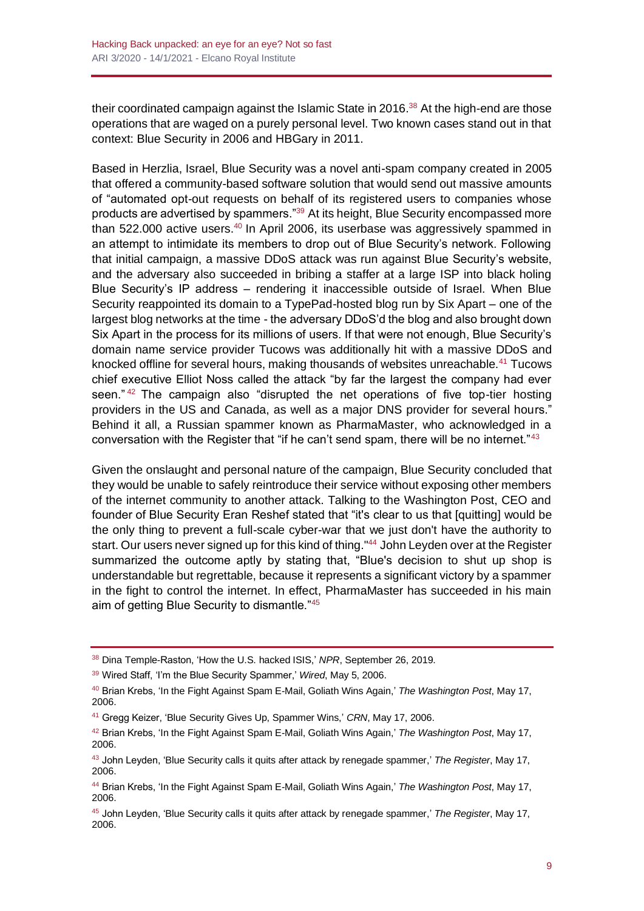their coordinated campaign against the Islamic State in 2016. $38$  At the high-end are those operations that are waged on a purely personal level. Two known cases stand out in that context: Blue Security in 2006 and HBGary in 2011.

Based in Herzlia, Israel, Blue Security was a novel anti-spam company created in 2005 that offered a community-based software solution that would send out massive amounts of "automated opt-out requests on behalf of its registered users to companies whose products are advertised by spammers."<sup>39</sup> At its height, Blue Security encompassed more than 522.000 active users.<sup>40</sup> In April 2006, its userbase was aggressively spammed in an attempt to intimidate its members to drop out of Blue Security's network. Following that initial campaign, a massive DDoS attack was run against Blue Security's website, and the adversary also succeeded in bribing a staffer at a large ISP into black holing Blue Security's IP address – rendering it inaccessible outside of Israel. When Blue Security reappointed its domain to a TypePad-hosted blog run by Six Apart – one of the largest blog networks at the time - the adversary DDoS'd the blog and also brought down Six Apart in the process for its millions of users. If that were not enough, Blue Security's domain name service provider Tucows was additionally hit with a massive DDoS and knocked offline for several hours, making thousands of websites unreachable.<sup>41</sup> Tucows chief executive Elliot Noss called the attack "by far the largest the company had ever seen." <sup>42</sup> The campaign also "disrupted the net operations of five top-tier hosting providers in the US and Canada, as well as a major DNS provider for several hours." Behind it all, a Russian spammer known as PharmaMaster, who acknowledged in a conversation with the Register that "if he can't send spam, there will be no internet."<sup>43</sup>

Given the onslaught and personal nature of the campaign, Blue Security concluded that they would be unable to safely reintroduce their service without exposing other members of the internet community to another attack. Talking to the Washington Post, CEO and founder of Blue Security Eran Reshef stated that "it's clear to us that [quitting] would be the only thing to prevent a full-scale cyber-war that we just don't have the authority to start. Our users never signed up for this kind of thing."<sup>44</sup> John Leyden over at the Register summarized the outcome aptly by stating that, "Blue's decision to shut up shop is understandable but regrettable, because it represents a significant victory by a spammer in the fight to control the internet. In effect, PharmaMaster has succeeded in his main aim of getting Blue Security to dismantle."<sup>45</sup>

<sup>38</sup> Dina Temple-Raston, ['How the U.S. hacked ISIS,](https://www.npr.org/2019/09/26/763545811/how-the-u-s-hacked-isis)' *NPR*, September 26, 2019.

<sup>39</sup> Wired Staff, ['I'm the Blue Security Spammer,](https://www.wired.com/2006/05/im-the-blue-security-spammer/)' *Wired*, May 5, 2006.

<sup>40</sup> Brian Krebs, ['In the Fight Against Spam E-Mail, Goliath Wins Again,](https://www.washingtonpost.com/wp-dyn/content/article/2006/05/16/AR2006051601873.html)' *The Washington Post*, May 17, 2006.

<sup>41</sup> Gregg Keizer, ['Blue Security Gives Up, Spammer Wins,'](https://www.crn.com/news/security/188100106/blue-security-gives-up-spammer-wins.htm?itc=refresh) *CRN*, May 17, 2006.

<sup>42</sup> Brian Krebs, ['In the Fight Against Spam E-Mail, Goliath Wins Again,](https://www.washingtonpost.com/wp-dyn/content/article/2006/05/16/AR2006051601873.html)' *The Washington Post*, May 17, 2006.

<sup>43</sup> John Leyden, ['Blue Security calls it quits after attack by renegade spammer,](https://www.theregister.com/2006/05/17/blue_security_folds/)' *The Register*, May 17, 2006.

<sup>44</sup> Brian Krebs, ['In the Fight Against Spam E-Mail, Goliath Wins Again,](https://www.washingtonpost.com/wp-dyn/content/article/2006/05/16/AR2006051601873.html)' *The Washington Post*, May 17, 2006.

<sup>45</sup> John Leyden, ['Blue Security calls it quits after attack by renegade spammer,](https://www.theregister.com/2006/05/17/blue_security_folds/)' *The Register*, May 17, 2006.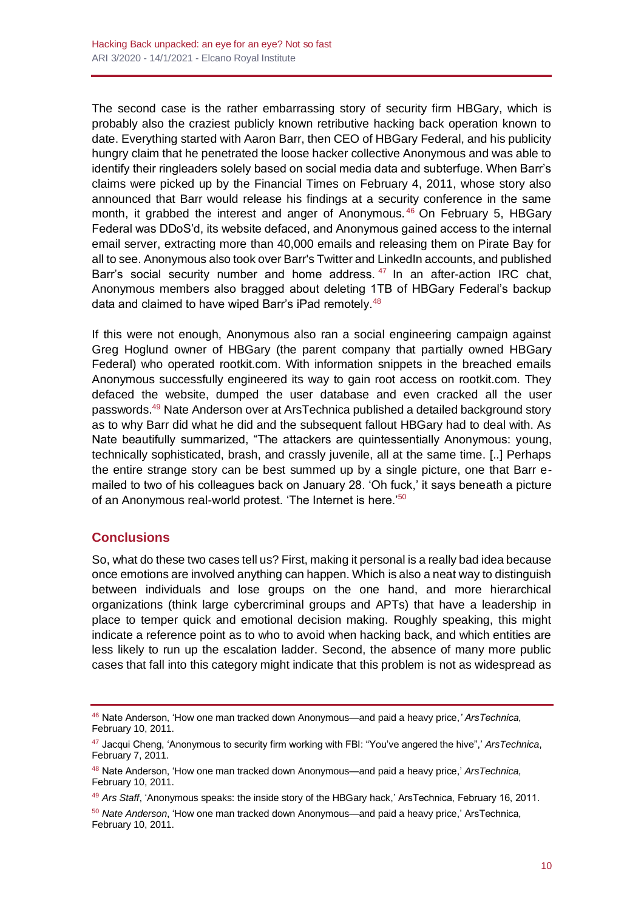The second case is the rather embarrassing story of security firm HBGary, which is probably also the craziest publicly known retributive hacking back operation known to date. Everything started with Aaron Barr, then CEO of HBGary Federal, and his publicity hungry claim that he penetrated the loose hacker collective Anonymous and was able to identify their ringleaders solely based on social media data and subterfuge. When Barr's claims were picked up by the Financial Times on February 4, 2011, whose story also announced that Barr would release his findings at a security conference in the same month, it grabbed the interest and anger of Anonymous.<sup>46</sup> On February 5, HBGary Federal was DDoS'd, its website defaced, and Anonymous gained access to the internal email server, extracting more than 40,000 emails and releasing them on Pirate Bay for all to see. Anonymous also took over Barr's Twitter and LinkedIn accounts, and published Barr's social security number and home address.  $47$  In an after-action IRC chat, Anonymous members also bragged about deleting 1TB of HBGary Federal's backup data and claimed to have wiped Barr's iPad remotely.<sup>48</sup>

If this were not enough, Anonymous also ran a social engineering campaign against Greg Hoglund owner of HBGary (the parent company that partially owned HBGary Federal) who operated rootkit.com. With information snippets in the breached emails Anonymous successfully engineered its way to gain root access on rootkit.com. They defaced the website, dumped the user database and even cracked all the user passwords.<sup>49</sup> Nate Anderson over at ArsTechnica published a detailed background story as to why Barr did what he did and the subsequent fallout HBGary had to deal with. As Nate beautifully summarized, "The attackers are quintessentially Anonymous: young, technically sophisticated, brash, and crassly juvenile, all at the same time. [..] Perhaps the entire strange story can be best summed up by a single picture, one that Barr emailed to two of his colleagues back on January 28. 'Oh fuck,' it says beneath a picture of an Anonymous real-world protest. 'The Internet is here.'<sup>50</sup>

## **Conclusions**

So, what do these two cases tell us? First, making it personal is a really bad idea because once emotions are involved anything can happen. Which is also a neat way to distinguish between individuals and lose groups on the one hand, and more hierarchical organizations (think large cybercriminal groups and APTs) that have a leadership in place to temper quick and emotional decision making. Roughly speaking, this might indicate a reference point as to who to avoid when hacking back, and which entities are less likely to run up the escalation ladder. Second, the absence of many more public cases that fall into this category might indicate that this problem is not as widespread as

<sup>46</sup> Nate Anderson, ['How one man tracked down Anonymous—and paid a heavy price,](https://arstechnica.com/tech-policy/2011/02/how-one-security-firm-tracked-anonymousand-paid-a-heavy-price/3/)*' ArsTechnica*, February 10, 2011.

<sup>47</sup> Jacqui Cheng, ['Anonymous to security firm working with FBI: "You've angered the hive",](https://arstechnica.com/tech-policy/2011/02/anonymous-to-security-firm-working-with-fbi-youve-angered-the-hive/)' *ArsTechnica*, February 7, 2011.

<sup>48</sup> Nate Anderson, ['How one man tracked down Anonymous—and paid a heavy price,](https://arstechnica.com/tech-policy/2011/02/how-one-security-firm-tracked-anonymousand-paid-a-heavy-price/3/)' *ArsTechnica*, February 10, 2011.

<sup>49</sup> *Ars Staff*, ['Anonymous speaks: the inside story of the HBGary hack,](https://arstechnica.com/tech-policy/2011/02/anonymous-speaks-the-inside-story-of-the-hbgary-hack/3/)' ArsTechnica, February 16, 2011.

<sup>50</sup> *Nate Anderson*, ['How one man tracked down Anonymous—and paid a heavy price,](https://arstechnica.com/tech-policy/2011/02/how-one-security-firm-tracked-anonymousand-paid-a-heavy-price/3/)' ArsTechnica, February 10, 2011.